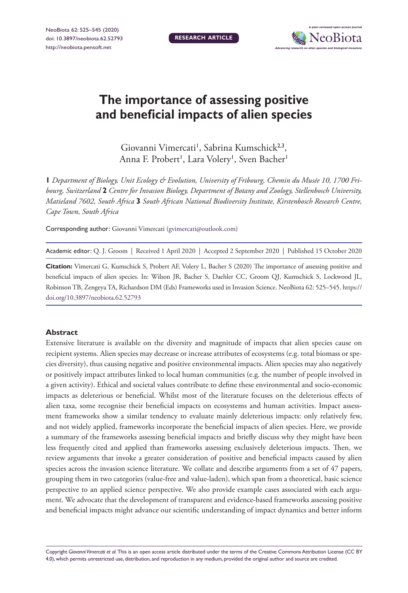**Research article**



# **The importance of assessing positive and beneficial impacts of alien species**

Giovanni Vimercati<sup>1</sup>, Sabrina Kumschick<sup>2,3</sup>, Anna F. Probert', Lara Volery', Sven Bacher'

**1** *Department of Biology, Unit Ecology & Evolution, University of Fribourg, Chemin du Musée 10, 1700 Fribourg, Switzerland* **2** *Centre for Invasion Biology, Department of Botany and Zoology, Stellenbosch University, Matieland 7602, South Africa* **3** *South African National Biodiversity Institute, Kirstenbosch Research Centre, Cape Town, South Africa*

Corresponding author: Giovanni Vimercati [\(gvimercati@outlook.com](mailto:gvimercati@outlook.com))

Academic editor: Q. J. Groom | Received 1 April 2020 | Accepted 2 September 2020 | Published 15 October 2020

**Citation:** Vimercati G, Kumschick S, Probert AF, Volery L, Bacher S (2020) The importance of assessing positive and beneficial impacts of alien species. In: Wilson JR, Bacher S, Daehler CC, Groom QJ, Kumschick S, Lockwood JL, Robinson TB, Zengeya TA, Richardson DM (Eds) Frameworks used in Invasion Science. NeoBiota 62: 525–545. [https://](https://doi.org/10.3897/neobiota.62.52793) [doi.org/10.3897/neobiota.62.52793](https://doi.org/10.3897/neobiota.62.52793)

#### **Abstract**

Extensive literature is available on the diversity and magnitude of impacts that alien species cause on recipient systems. Alien species may decrease or increase attributes of ecosystems (e.g. total biomass or species diversity), thus causing negative and positive environmental impacts. Alien species may also negatively or positively impact attributes linked to local human communities (e.g. the number of people involved in a given activity). Ethical and societal values contribute to define these environmental and socio-economic impacts as deleterious or beneficial. Whilst most of the literature focuses on the deleterious effects of alien taxa, some recognise their beneficial impacts on ecosystems and human activities. Impact assessment frameworks show a similar tendency to evaluate mainly deleterious impacts: only relatively few, and not widely applied, frameworks incorporate the beneficial impacts of alien species. Here, we provide a summary of the frameworks assessing beneficial impacts and briefly discuss why they might have been less frequently cited and applied than frameworks assessing exclusively deleterious impacts. Then, we review arguments that invoke a greater consideration of positive and beneficial impacts caused by alien species across the invasion science literature. We collate and describe arguments from a set of 47 papers, grouping them in two categories (value-free and value-laden), which span from a theoretical, basic science perspective to an applied science perspective. We also provide example cases associated with each argument. We advocate that the development of transparent and evidence-based frameworks assessing positive and beneficial impacts might advance our scientific understanding of impact dynamics and better inform

Copyright *Giovanni Vimercati et al.* This is an open access article distributed under the terms of the [Creative Commons Attribution License \(CC BY](http://creativecommons.org/licenses/by/4.0/)  [4.0\),](http://creativecommons.org/licenses/by/4.0/) which permits unrestricted use, distribution, and reproduction in any medium, provided the original author and source are credited.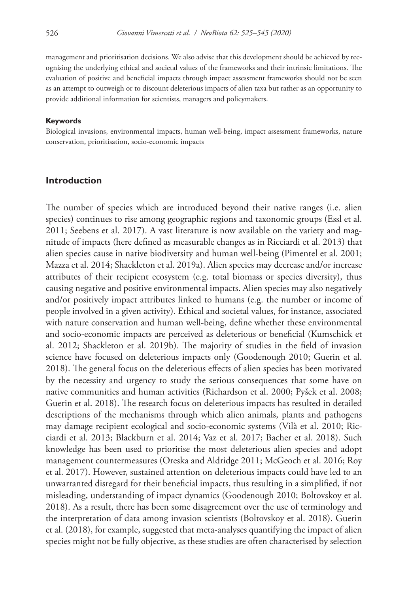management and prioritisation decisions. We also advise that this development should be achieved by recognising the underlying ethical and societal values of the frameworks and their intrinsic limitations. The evaluation of positive and beneficial impacts through impact assessment frameworks should not be seen as an attempt to outweigh or to discount deleterious impacts of alien taxa but rather as an opportunity to provide additional information for scientists, managers and policymakers.

#### **Keywords**

Biological invasions, environmental impacts, human well-being, impact assessment frameworks, nature conservation, prioritisation, socio-economic impacts

## **Introduction**

The number of species which are introduced beyond their native ranges (i.e. alien species) continues to rise among geographic regions and taxonomic groups (Essl et al. 2011; Seebens et al. 2017). A vast literature is now available on the variety and magnitude of impacts (here defined as measurable changes as in Ricciardi et al. 2013) that alien species cause in native biodiversity and human well-being (Pimentel et al. 2001; Mazza et al. 2014; Shackleton et al. 2019a). Alien species may decrease and/or increase attributes of their recipient ecosystem (e.g. total biomass or species diversity), thus causing negative and positive environmental impacts. Alien species may also negatively and/or positively impact attributes linked to humans (e.g. the number or income of people involved in a given activity). Ethical and societal values, for instance, associated with nature conservation and human well-being, define whether these environmental and socio-economic impacts are perceived as deleterious or beneficial (Kumschick et al. 2012; Shackleton et al. 2019b). The majority of studies in the field of invasion science have focused on deleterious impacts only (Goodenough 2010; Guerin et al. 2018). The general focus on the deleterious effects of alien species has been motivated by the necessity and urgency to study the serious consequences that some have on native communities and human activities (Richardson et al. 2000; Pyšek et al. 2008; Guerin et al. 2018). The research focus on deleterious impacts has resulted in detailed descriptions of the mechanisms through which alien animals, plants and pathogens may damage recipient ecological and socio-economic systems (Vilà et al. 2010; Ricciardi et al. 2013; Blackburn et al. 2014; Vaz et al. 2017; Bacher et al. 2018). Such knowledge has been used to prioritise the most deleterious alien species and adopt management countermeasures (Oreska and Aldridge 2011; McGeoch et al. 2016; Roy et al. 2017). However, sustained attention on deleterious impacts could have led to an unwarranted disregard for their beneficial impacts, thus resulting in a simplified, if not misleading, understanding of impact dynamics (Goodenough 2010; Boltovskoy et al. 2018). As a result, there has been some disagreement over the use of terminology and the interpretation of data among invasion scientists (Boltovskoy et al. 2018). Guerin et al. (2018), for example, suggested that meta-analyses quantifying the impact of alien species might not be fully objective, as these studies are often characterised by selection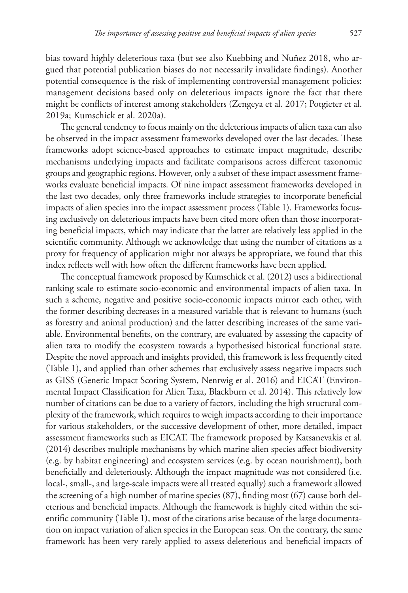bias toward highly deleterious taxa (but see also Kuebbing and Nuñez 2018, who argued that potential publication biases do not necessarily invalidate findings). Another potential consequence is the risk of implementing controversial management policies: management decisions based only on deleterious impacts ignore the fact that there might be conflicts of interest among stakeholders (Zengeya et al. 2017; Potgieter et al. 2019a; Kumschick et al. 2020a).

The general tendency to focus mainly on the deleterious impacts of alien taxa can also be observed in the impact assessment frameworks developed over the last decades. These frameworks adopt science-based approaches to estimate impact magnitude, describe mechanisms underlying impacts and facilitate comparisons across different taxonomic groups and geographic regions. However, only a subset of these impact assessment frameworks evaluate beneficial impacts. Of nine impact assessment frameworks developed in the last two decades, only three frameworks include strategies to incorporate beneficial impacts of alien species into the impact assessment process (Table 1). Frameworks focusing exclusively on deleterious impacts have been cited more often than those incorporating beneficial impacts, which may indicate that the latter are relatively less applied in the scientific community. Although we acknowledge that using the number of citations as a proxy for frequency of application might not always be appropriate, we found that this index reflects well with how often the different frameworks have been applied.

The conceptual framework proposed by Kumschick et al. (2012) uses a bidirectional ranking scale to estimate socio-economic and environmental impacts of alien taxa. In such a scheme, negative and positive socio-economic impacts mirror each other, with the former describing decreases in a measured variable that is relevant to humans (such as forestry and animal production) and the latter describing increases of the same variable. Environmental benefits, on the contrary, are evaluated by assessing the capacity of alien taxa to modify the ecosystem towards a hypothesised historical functional state. Despite the novel approach and insights provided, this framework is less frequently cited (Table 1), and applied than other schemes that exclusively assess negative impacts such as GISS (Generic Impact Scoring System, Nentwig et al. 2016) and EICAT (Environmental Impact Classification for Alien Taxa, Blackburn et al. 2014). This relatively low number of citations can be due to a variety of factors, including the high structural complexity of the framework, which requires to weigh impacts according to their importance for various stakeholders, or the successive development of other, more detailed, impact assessment frameworks such as EICAT. The framework proposed by Katsanevakis et al. (2014) describes multiple mechanisms by which marine alien species affect biodiversity (e.g. by habitat engineering) and ecosystem services (e.g. by ocean nourishment), both beneficially and deleteriously. Although the impact magnitude was not considered (i.e. local-, small-, and large-scale impacts were all treated equally) such a framework allowed the screening of a high number of marine species (87), finding most (67) cause both deleterious and beneficial impacts. Although the framework is highly cited within the scientific community (Table 1), most of the citations arise because of the large documentation on impact variation of alien species in the European seas. On the contrary, the same framework has been very rarely applied to assess deleterious and beneficial impacts of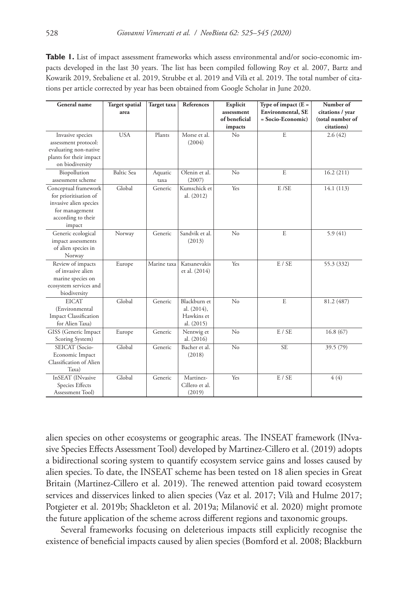**Table 1.** List of impact assessment frameworks which assess environmental and/or socio-economic impacts developed in the last 30 years. The list has been compiled following Roy et al. 2007, Bartz and Kowarik 2019, Srebaliene et al. 2019, Strubbe et al. 2019 and Vilà et al. 2019. The total number of citations per article corrected by year has been obtained from Google Scholar in June 2020.

| General name                                                                                                              | <b>Target spatial</b><br>area | Target taxa     | References                                              | Explicit<br>assessment<br>of beneficial<br>impacts | Type of impact $(E =$<br>Environmental, SE<br>$=$ Socio-Economic $)$ | Number of<br>citations / year<br>(total number of<br>citations) |
|---------------------------------------------------------------------------------------------------------------------------|-------------------------------|-----------------|---------------------------------------------------------|----------------------------------------------------|----------------------------------------------------------------------|-----------------------------------------------------------------|
| Invasive species<br>assessment protocol:<br>evaluating non-native<br>plants for their impact<br>on biodiversity           | <b>USA</b>                    | Plants          | Morse et al.<br>(2004)                                  | No                                                 | E                                                                    | 2.6(42)                                                         |
| Biopollution<br>assessment scheme                                                                                         | Baltic Sea                    | Aquatic<br>taxa | Olenin et al.<br>(2007)                                 | No                                                 | E                                                                    | 16.2(211)                                                       |
| Conceptual framework<br>for prioritisation of<br>invasive alien species<br>for management<br>according to their<br>impact | Global                        | Generic         | Kumschick et<br>al. (2012)                              | Yes                                                | E /SE                                                                | 14.1 (113)                                                      |
| Generic ecological<br>impact assessments<br>of alien species in<br>Norway                                                 | Norway                        | Generic         | Sandvik et al.<br>(2013)                                | No                                                 | E                                                                    | 5.9(41)                                                         |
| Review of impacts<br>of invasive alien<br>marine species on<br>ecosystem services and<br>biodiversity                     | Europe                        | Marine taxa     | Katsanevakis<br>et al. (2014)                           | Yes                                                | E / SE                                                               | 55.3 (332)                                                      |
| <b>EICAT</b><br>(Environmental<br><b>Impact Classification</b><br>for Alien Taxa)                                         | Global                        | Generic         | Blackburn et<br>al. (2014),<br>Hawkins et<br>al. (2015) | No                                                 | E                                                                    | 81.2 (487)                                                      |
| GISS (Generic Impact<br>Scoring System)                                                                                   | Europe                        | Generic         | Nentwig et<br>al. (2016)                                | No                                                 | E / SE                                                               | 16.8(67)                                                        |
| SEICAT (Socio-<br>Economic Impact<br>Classification of Alien<br>Taxa)                                                     | Global                        | Generic         | Bacher et al.<br>(2018)                                 | No                                                 | <b>SE</b>                                                            | 39.5 (79)                                                       |
| InSEAT (INvasive<br>Species Effects<br>Assessment Tool)                                                                   | Global                        | Generic         | Martinez-<br>Cillero et al.<br>(2019)                   | Yes                                                | E / SE                                                               | 4(4)                                                            |

alien species on other ecosystems or geographic areas. The INSEAT framework (INvasive Species Effects Assessment Tool) developed by Martinez-Cillero et al. (2019) adopts a bidirectional scoring system to quantify ecosystem service gains and losses caused by alien species. To date, the INSEAT scheme has been tested on 18 alien species in Great Britain (Martinez-Cillero et al. 2019). The renewed attention paid toward ecosystem services and disservices linked to alien species (Vaz et al. 2017; Vilà and Hulme 2017; Potgieter et al. 2019b; Shackleton et al. 2019a; Milanović et al. 2020) might promote the future application of the scheme across different regions and taxonomic groups.

Several frameworks focusing on deleterious impacts still explicitly recognise the existence of beneficial impacts caused by alien species (Bomford et al. 2008; Blackburn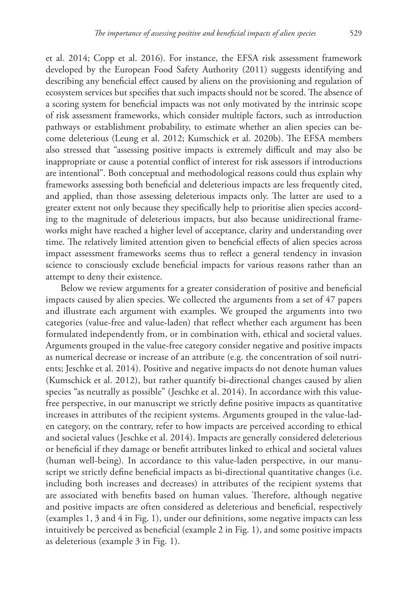et al. 2014; Copp et al. 2016). For instance, the EFSA risk assessment framework developed by the European Food Safety Authority (2011) suggests identifying and describing any beneficial effect caused by aliens on the provisioning and regulation of ecosystem services but specifies that such impacts should not be scored. The absence of a scoring system for beneficial impacts was not only motivated by the intrinsic scope of risk assessment frameworks, which consider multiple factors, such as introduction pathways or establishment probability, to estimate whether an alien species can become deleterious (Leung et al. 2012; Kumschick et al. 2020b). The EFSA members also stressed that "assessing positive impacts is extremely difficult and may also be inappropriate or cause a potential conflict of interest for risk assessors if introductions are intentional". Both conceptual and methodological reasons could thus explain why frameworks assessing both beneficial and deleterious impacts are less frequently cited, and applied, than those assessing deleterious impacts only. The latter are used to a greater extent not only because they specifically help to prioritise alien species according to the magnitude of deleterious impacts, but also because unidirectional frameworks might have reached a higher level of acceptance, clarity and understanding over time. The relatively limited attention given to beneficial effects of alien species across impact assessment frameworks seems thus to reflect a general tendency in invasion science to consciously exclude beneficial impacts for various reasons rather than an attempt to deny their existence.

Below we review arguments for a greater consideration of positive and beneficial impacts caused by alien species. We collected the arguments from a set of 47 papers and illustrate each argument with examples. We grouped the arguments into two categories (value-free and value-laden) that reflect whether each argument has been formulated independently from, or in combination with, ethical and societal values. Arguments grouped in the value-free category consider negative and positive impacts as numerical decrease or increase of an attribute (e.g. the concentration of soil nutrients; Jeschke et al. 2014). Positive and negative impacts do not denote human values (Kumschick et al. 2012), but rather quantify bi-directional changes caused by alien species "as neutrally as possible" (Jeschke et al. 2014). In accordance with this valuefree perspective, in our manuscript we strictly define positive impacts as quantitative increases in attributes of the recipient systems. Arguments grouped in the value-laden category, on the contrary, refer to how impacts are perceived according to ethical and societal values (Jeschke et al. 2014). Impacts are generally considered deleterious or beneficial if they damage or benefit attributes linked to ethical and societal values (human well-being). In accordance to this value-laden perspective, in our manuscript we strictly define beneficial impacts as bi-directional quantitative changes (i.e. including both increases and decreases) in attributes of the recipient systems that are associated with benefits based on human values. Therefore, although negative and positive impacts are often considered as deleterious and beneficial, respectively (examples 1, 3 and 4 in Fig. 1), under our definitions, some negative impacts can less intuitively be perceived as beneficial (example 2 in Fig. 1), and some positive impacts as deleterious (example 3 in Fig. 1).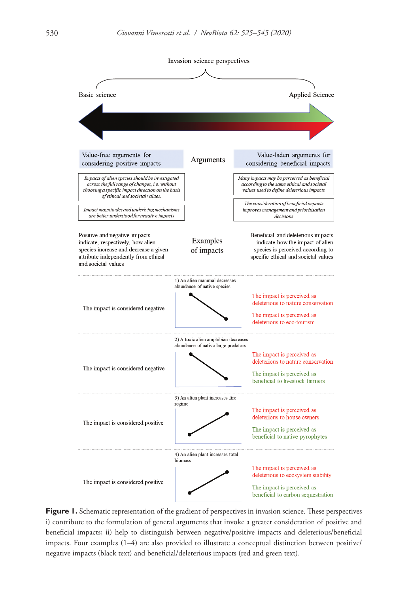

**Figure 1.** Schematic representation of the gradient of perspectives in invasion science. These perspectives i) contribute to the formulation of general arguments that invoke a greater consideration of positive and beneficial impacts; ii) help to distinguish between negative/positive impacts and deleterious/beneficial impacts. Four examples (1–4) are also provided to illustrate a conceptual distinction between positive/ negative impacts (black text) and beneficial/deleterious impacts (red and green text).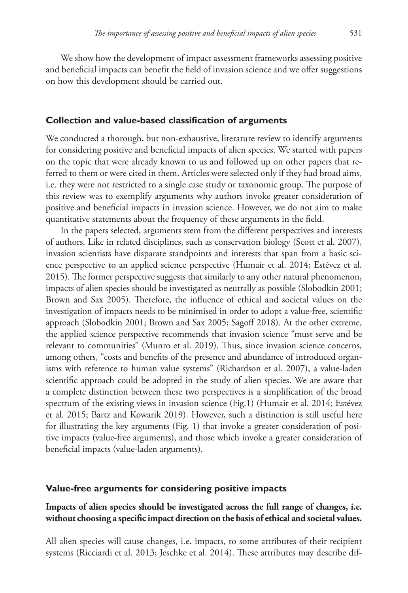We show how the development of impact assessment frameworks assessing positive and beneficial impacts can benefit the field of invasion science and we offer suggestions on how this development should be carried out.

#### **Collection and value-based classification of arguments**

We conducted a thorough, but non-exhaustive, literature review to identify arguments for considering positive and beneficial impacts of alien species. We started with papers on the topic that were already known to us and followed up on other papers that referred to them or were cited in them. Articles were selected only if they had broad aims, i.e. they were not restricted to a single case study or taxonomic group. The purpose of this review was to exemplify arguments why authors invoke greater consideration of positive and beneficial impacts in invasion science. However, we do not aim to make quantitative statements about the frequency of these arguments in the field.

In the papers selected, arguments stem from the different perspectives and interests of authors. Like in related disciplines, such as conservation biology (Scott et al. 2007), invasion scientists have disparate standpoints and interests that span from a basic science perspective to an applied science perspective (Humair et al. 2014; Estévez et al. 2015). The former perspective suggests that similarly to any other natural phenomenon, impacts of alien species should be investigated as neutrally as possible (Slobodkin 2001; Brown and Sax 2005). Therefore, the influence of ethical and societal values on the investigation of impacts needs to be minimised in order to adopt a value-free, scientific approach (Slobodkin 2001; Brown and Sax 2005; Sagoff 2018). At the other extreme, the applied science perspective recommends that invasion science "must serve and be relevant to communities" (Munro et al. 2019). Thus, since invasion science concerns, among others, "costs and benefits of the presence and abundance of introduced organisms with reference to human value systems" (Richardson et al. 2007), a value-laden scientific approach could be adopted in the study of alien species. We are aware that a complete distinction between these two perspectives is a simplification of the broad spectrum of the existing views in invasion science (Fig.1) (Humair et al. 2014; Estévez et al. 2015; Bartz and Kowarik 2019). However, such a distinction is still useful here for illustrating the key arguments (Fig. 1) that invoke a greater consideration of positive impacts (value-free arguments), and those which invoke a greater consideration of beneficial impacts (value-laden arguments).

#### **Value-free arguments for considering positive impacts**

# **Impacts of alien species should be investigated across the full range of changes, i.e. without choosing a specific impact direction on the basis of ethical and societal values.**

All alien species will cause changes, i.e. impacts, to some attributes of their recipient systems (Ricciardi et al. 2013; Jeschke et al. 2014). These attributes may describe dif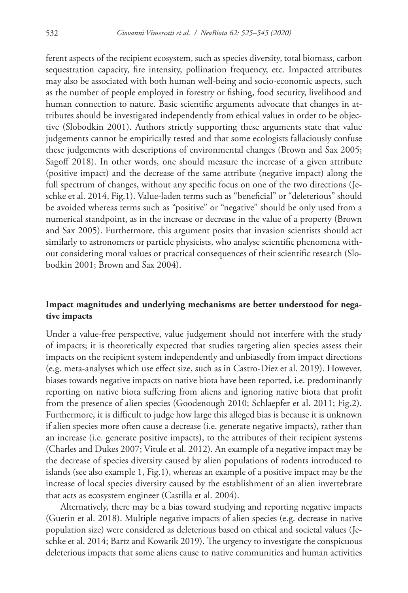ferent aspects of the recipient ecosystem, such as species diversity, total biomass, carbon sequestration capacity, fire intensity, pollination frequency, etc. Impacted attributes may also be associated with both human well-being and socio-economic aspects, such as the number of people employed in forestry or fishing, food security, livelihood and human connection to nature. Basic scientific arguments advocate that changes in attributes should be investigated independently from ethical values in order to be objective (Slobodkin 2001). Authors strictly supporting these arguments state that value judgements cannot be empirically tested and that some ecologists fallaciously confuse these judgements with descriptions of environmental changes (Brown and Sax 2005; Sagoff 2018). In other words, one should measure the increase of a given attribute (positive impact) and the decrease of the same attribute (negative impact) along the full spectrum of changes, without any specific focus on one of the two directions (Jeschke et al. 2014, Fig.1). Value-laden terms such as "beneficial" or "deleterious" should be avoided whereas terms such as "positive" or "negative" should be only used from a numerical standpoint, as in the increase or decrease in the value of a property (Brown and Sax 2005). Furthermore, this argument posits that invasion scientists should act similarly to astronomers or particle physicists, who analyse scientific phenomena without considering moral values or practical consequences of their scientific research (Slobodkin 2001; Brown and Sax 2004).

## **Impact magnitudes and underlying mechanisms are better understood for negative impacts**

Under a value-free perspective, value judgement should not interfere with the study of impacts; it is theoretically expected that studies targeting alien species assess their impacts on the recipient system independently and unbiasedly from impact directions (e.g. meta-analyses which use effect size, such as in Castro-Díez et al. 2019). However, biases towards negative impacts on native biota have been reported, i.e. predominantly reporting on native biota suffering from aliens and ignoring native biota that profit from the presence of alien species (Goodenough 2010; Schlaepfer et al. 2011; Fig.2). Furthermore, it is difficult to judge how large this alleged bias is because it is unknown if alien species more often cause a decrease (i.e. generate negative impacts), rather than an increase (i.e. generate positive impacts), to the attributes of their recipient systems (Charles and Dukes 2007; Vitule et al. 2012). An example of a negative impact may be the decrease of species diversity caused by alien populations of rodents introduced to islands (see also example 1, Fig.1), whereas an example of a positive impact may be the increase of local species diversity caused by the establishment of an alien invertebrate that acts as ecosystem engineer (Castilla et al. 2004).

Alternatively, there may be a bias toward studying and reporting negative impacts (Guerin et al. 2018). Multiple negative impacts of alien species (e.g. decrease in native population size) were considered as deleterious based on ethical and societal values (Jeschke et al. 2014; Bartz and Kowarik 2019). The urgency to investigate the conspicuous deleterious impacts that some aliens cause to native communities and human activities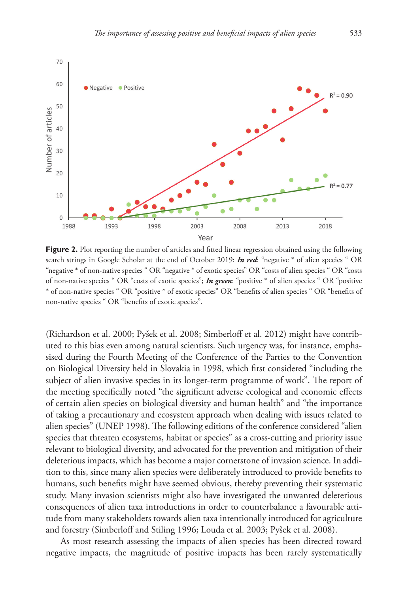

Figure 2. Plot reporting the number of articles and fitted linear regression obtained using the following search strings in Google Scholar at the end of October 2019: *In red*: "negative \* of alien species " OR "negative \* of non-native species " OR "negative \* of exotic species" OR "costs of alien species " OR "costs of non-native species " OR "costs of exotic species"; *In green*: "positive \* of alien species " OR "positive \* of non-native species " OR "positive \* of exotic species" OR "benefits of alien species " OR "benefits of non-native species " OR "benefits of exotic species".

(Richardson et al. 2000; Pyšek et al. 2008; Simberloff et al. 2012) might have contributed to this bias even among natural scientists. Such urgency was, for instance, emphasised during the Fourth Meeting of the Conference of the Parties to the Convention on Biological Diversity held in Slovakia in 1998, which first considered "including the subject of alien invasive species in its longer-term programme of work". The report of the meeting specifically noted "the significant adverse ecological and economic effects of certain alien species on biological diversity and human health" and "the importance of taking a precautionary and ecosystem approach when dealing with issues related to alien species" (UNEP 1998). The following editions of the conference considered "alien species that threaten ecosystems, habitat or species" as a cross-cutting and priority issue relevant to biological diversity, and advocated for the prevention and mitigation of their deleterious impacts, which has become a major cornerstone of invasion science. In addition to this, since many alien species were deliberately introduced to provide benefits to humans, such benefits might have seemed obvious, thereby preventing their systematic study. Many invasion scientists might also have investigated the unwanted deleterious consequences of alien taxa introductions in order to counterbalance a favourable attitude from many stakeholders towards alien taxa intentionally introduced for agriculture and forestry (Simberloff and Stiling 1996; Louda et al. 2003; Pyšek et al. 2008).

As most research assessing the impacts of alien species has been directed toward negative impacts, the magnitude of positive impacts has been rarely systematically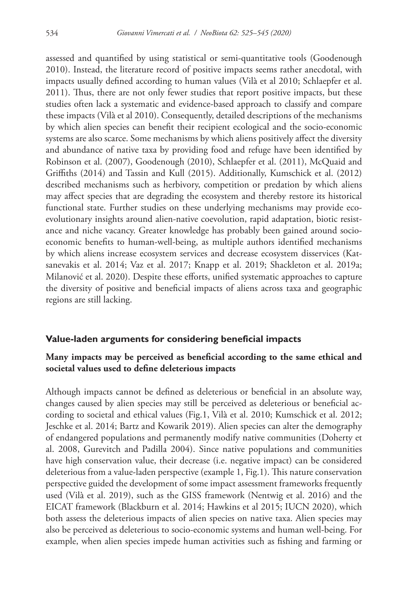assessed and quantified by using statistical or semi-quantitative tools (Goodenough 2010). Instead, the literature record of positive impacts seems rather anecdotal, with impacts usually defined according to human values (Vilà et al 2010; Schlaepfer et al. 2011). Thus, there are not only fewer studies that report positive impacts, but these studies often lack a systematic and evidence-based approach to classify and compare these impacts (Vilà et al 2010). Consequently, detailed descriptions of the mechanisms by which alien species can benefit their recipient ecological and the socio-economic systems are also scarce. Some mechanisms by which aliens positively affect the diversity and abundance of native taxa by providing food and refuge have been identified by Robinson et al. (2007), Goodenough (2010), Schlaepfer et al. (2011), McQuaid and Griffiths (2014) and Tassin and Kull (2015). Additionally, Kumschick et al. (2012) described mechanisms such as herbivory, competition or predation by which aliens may affect species that are degrading the ecosystem and thereby restore its historical functional state. Further studies on these underlying mechanisms may provide ecoevolutionary insights around alien-native coevolution, rapid adaptation, biotic resistance and niche vacancy. Greater knowledge has probably been gained around socioeconomic benefits to human-well-being, as multiple authors identified mechanisms by which aliens increase ecosystem services and decrease ecosystem disservices (Katsanevakis et al. 2014; Vaz et al. 2017; Knapp et al. 2019; Shackleton et al. 2019a; Milanović et al. 2020). Despite these efforts, unified systematic approaches to capture the diversity of positive and beneficial impacts of aliens across taxa and geographic regions are still lacking.

#### **Value-laden arguments for considering beneficial impacts**

## **Many impacts may be perceived as beneficial according to the same ethical and societal values used to define deleterious impacts**

Although impacts cannot be defined as deleterious or beneficial in an absolute way, changes caused by alien species may still be perceived as deleterious or beneficial according to societal and ethical values (Fig.1, Vilà et al. 2010; Kumschick et al. 2012; Jeschke et al. 2014; Bartz and Kowarik 2019). Alien species can alter the demography of endangered populations and permanently modify native communities (Doherty et al. 2008, Gurevitch and Padilla 2004). Since native populations and communities have high conservation value, their decrease (i.e. negative impact) can be considered deleterious from a value-laden perspective (example 1, Fig.1). This nature conservation perspective guided the development of some impact assessment frameworks frequently used (Vilà et al. 2019), such as the GISS framework (Nentwig et al. 2016) and the EICAT framework (Blackburn et al. 2014; Hawkins et al 2015; IUCN 2020), which both assess the deleterious impacts of alien species on native taxa. Alien species may also be perceived as deleterious to socio-economic systems and human well-being. For example, when alien species impede human activities such as fishing and farming or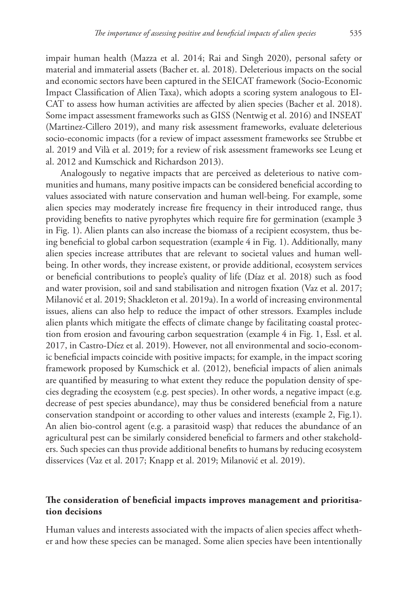impair human health (Mazza et al. 2014; Rai and Singh 2020), personal safety or material and immaterial assets (Bacher et. al. 2018). Deleterious impacts on the social and economic sectors have been captured in the SEICAT framework (Socio-Economic Impact Classification of Alien Taxa), which adopts a scoring system analogous to EI-CAT to assess how human activities are affected by alien species (Bacher et al. 2018). Some impact assessment frameworks such as GISS (Nentwig et al. 2016) and INSEAT (Martinez-Cillero 2019), and many risk assessment frameworks, evaluate deleterious socio-economic impacts (for a review of impact assessment frameworks see Strubbe et al. 2019 and Vilà et al. 2019; for a review of risk assessment frameworks see Leung et al. 2012 and Kumschick and Richardson 2013).

Analogously to negative impacts that are perceived as deleterious to native communities and humans, many positive impacts can be considered beneficial according to values associated with nature conservation and human well-being. For example, some alien species may moderately increase fire frequency in their introduced range, thus providing benefits to native pyrophytes which require fire for germination (example 3 in Fig. 1). Alien plants can also increase the biomass of a recipient ecosystem, thus being beneficial to global carbon sequestration (example 4 in Fig. 1). Additionally, many alien species increase attributes that are relevant to societal values and human wellbeing. In other words, they increase existent, or provide additional, ecosystem services or beneficial contributions to people's quality of life (Díaz et al. 2018) such as food and water provision, soil and sand stabilisation and nitrogen fixation (Vaz et al. 2017; Milanović et al. 2019; Shackleton et al. 2019a). In a world of increasing environmental issues, aliens can also help to reduce the impact of other stressors. Examples include alien plants which mitigate the effects of climate change by facilitating coastal protection from erosion and favouring carbon sequestration (example 4 in Fig. 1, Essl. et al. 2017, in Castro-Díez et al. 2019). However, not all environmental and socio-economic beneficial impacts coincide with positive impacts; for example, in the impact scoring framework proposed by Kumschick et al. (2012), beneficial impacts of alien animals are quantified by measuring to what extent they reduce the population density of species degrading the ecosystem (e.g. pest species). In other words, a negative impact (e.g. decrease of pest species abundance), may thus be considered beneficial from a nature conservation standpoint or according to other values and interests (example 2, Fig.1). An alien bio-control agent (e.g. a parasitoid wasp) that reduces the abundance of an agricultural pest can be similarly considered beneficial to farmers and other stakeholders. Such species can thus provide additional benefits to humans by reducing ecosystem disservices (Vaz et al. 2017; Knapp et al. 2019; Milanović et al. 2019).

## **The consideration of beneficial impacts improves management and prioritisation decisions**

Human values and interests associated with the impacts of alien species affect whether and how these species can be managed. Some alien species have been intentionally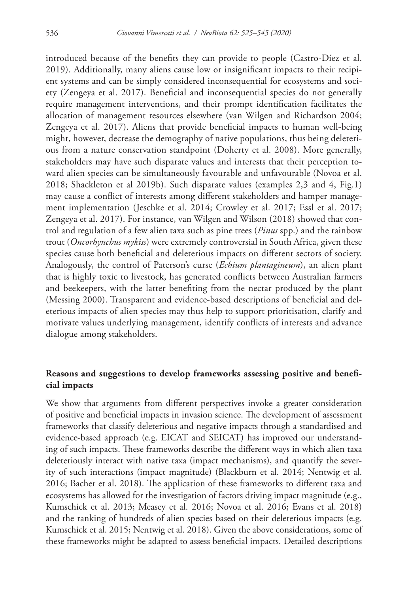introduced because of the benefits they can provide to people (Castro-Díez et al. 2019). Additionally, many aliens cause low or insignificant impacts to their recipient systems and can be simply considered inconsequential for ecosystems and society (Zengeya et al. 2017). Beneficial and inconsequential species do not generally require management interventions, and their prompt identification facilitates the allocation of management resources elsewhere (van Wilgen and Richardson 2004; Zengeya et al. 2017). Aliens that provide beneficial impacts to human well-being might, however, decrease the demography of native populations, thus being deleterious from a nature conservation standpoint (Doherty et al. 2008). More generally, stakeholders may have such disparate values and interests that their perception toward alien species can be simultaneously favourable and unfavourable (Novoa et al. 2018; Shackleton et al 2019b). Such disparate values (examples 2,3 and 4, Fig.1) may cause a conflict of interests among different stakeholders and hamper management implementation (Jeschke et al. 2014; Crowley et al. 2017; Essl et al. 2017; Zengeya et al. 2017). For instance, van Wilgen and Wilson (2018) showed that control and regulation of a few alien taxa such as pine trees (*Pinus* spp.) and the rainbow trout (*Oncorhynchus mykiss*) were extremely controversial in South Africa, given these species cause both beneficial and deleterious impacts on different sectors of society. Analogously, the control of Paterson's curse (*Echium plantagineum*), an alien plant that is highly toxic to livestock, has generated conflicts between Australian farmers and beekeepers, with the latter benefiting from the nectar produced by the plant (Messing 2000). Transparent and evidence-based descriptions of beneficial and deleterious impacts of alien species may thus help to support prioritisation, clarify and motivate values underlying management, identify conflicts of interests and advance dialogue among stakeholders.

# **Reasons and suggestions to develop frameworks assessing positive and beneficial impacts**

We show that arguments from different perspectives invoke a greater consideration of positive and beneficial impacts in invasion science. The development of assessment frameworks that classify deleterious and negative impacts through a standardised and evidence-based approach (e.g. EICAT and SEICAT) has improved our understanding of such impacts. These frameworks describe the different ways in which alien taxa deleteriously interact with native taxa (impact mechanisms), and quantify the severity of such interactions (impact magnitude) (Blackburn et al. 2014; Nentwig et al. 2016; Bacher et al. 2018). The application of these frameworks to different taxa and ecosystems has allowed for the investigation of factors driving impact magnitude (e.g., Kumschick et al. 2013; Measey et al. 2016; Novoa et al. 2016; Evans et al. 2018) and the ranking of hundreds of alien species based on their deleterious impacts (e.g. Kumschick et al. 2015; Nentwig et al. 2018). Given the above considerations, some of these frameworks might be adapted to assess beneficial impacts. Detailed descriptions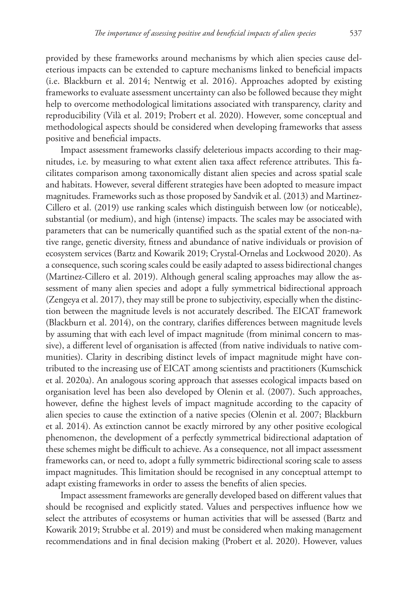provided by these frameworks around mechanisms by which alien species cause deleterious impacts can be extended to capture mechanisms linked to beneficial impacts (i.e. Blackburn et al. 2014; Nentwig et al. 2016). Approaches adopted by existing frameworks to evaluate assessment uncertainty can also be followed because they might help to overcome methodological limitations associated with transparency, clarity and reproducibility (Vilà et al. 2019; Probert et al. 2020). However, some conceptual and methodological aspects should be considered when developing frameworks that assess positive and beneficial impacts.

Impact assessment frameworks classify deleterious impacts according to their magnitudes, i.e. by measuring to what extent alien taxa affect reference attributes. This facilitates comparison among taxonomically distant alien species and across spatial scale and habitats. However, several different strategies have been adopted to measure impact magnitudes. Frameworks such as those proposed by Sandvik et al. (2013) and Martinez-Cillero et al. (2019) use ranking scales which distinguish between low (or noticeable), substantial (or medium), and high (intense) impacts. The scales may be associated with parameters that can be numerically quantified such as the spatial extent of the non-native range, genetic diversity, fitness and abundance of native individuals or provision of ecosystem services (Bartz and Kowarik 2019; Crystal-Ornelas and Lockwood 2020). As a consequence, such scoring scales could be easily adapted to assess bidirectional changes (Martinez-Cillero et al. 2019). Although general scaling approaches may allow the assessment of many alien species and adopt a fully symmetrical bidirectional approach (Zengeya et al. 2017), they may still be prone to subjectivity, especially when the distinction between the magnitude levels is not accurately described. The EICAT framework (Blackburn et al. 2014), on the contrary, clarifies differences between magnitude levels by assuming that with each level of impact magnitude (from minimal concern to massive), a different level of organisation is affected (from native individuals to native communities). Clarity in describing distinct levels of impact magnitude might have contributed to the increasing use of EICAT among scientists and practitioners (Kumschick et al. 2020a). An analogous scoring approach that assesses ecological impacts based on organisation level has been also developed by Olenin et al. (2007). Such approaches, however, define the highest levels of impact magnitude according to the capacity of alien species to cause the extinction of a native species (Olenin et al. 2007; Blackburn et al. 2014). As extinction cannot be exactly mirrored by any other positive ecological phenomenon, the development of a perfectly symmetrical bidirectional adaptation of these schemes might be difficult to achieve. As a consequence, not all impact assessment frameworks can, or need to, adopt a fully symmetric bidirectional scoring scale to assess impact magnitudes. This limitation should be recognised in any conceptual attempt to adapt existing frameworks in order to assess the benefits of alien species.

Impact assessment frameworks are generally developed based on different values that should be recognised and explicitly stated. Values and perspectives influence how we select the attributes of ecosystems or human activities that will be assessed (Bartz and Kowarik 2019; Strubbe et al. 2019) and must be considered when making management recommendations and in final decision making (Probert et al. 2020). However, values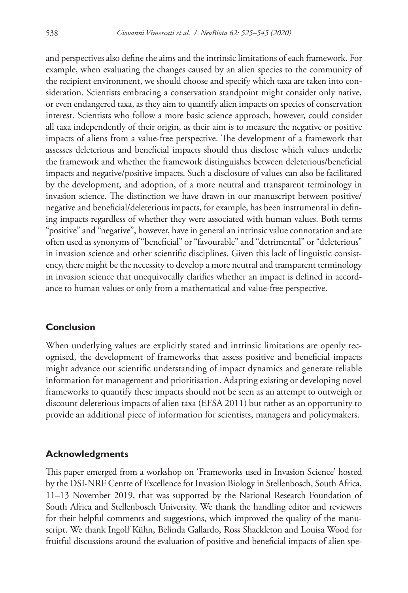and perspectives also define the aims and the intrinsic limitations of each framework. For example, when evaluating the changes caused by an alien species to the community of the recipient environment, we should choose and specify which taxa are taken into consideration. Scientists embracing a conservation standpoint might consider only native, or even endangered taxa, as they aim to quantify alien impacts on species of conservation interest. Scientists who follow a more basic science approach, however, could consider all taxa independently of their origin, as their aim is to measure the negative or positive impacts of aliens from a value-free perspective. The development of a framework that assesses deleterious and beneficial impacts should thus disclose which values underlie the framework and whether the framework distinguishes between deleterious/beneficial impacts and negative/positive impacts. Such a disclosure of values can also be facilitated by the development, and adoption, of a more neutral and transparent terminology in invasion science. The distinction we have drawn in our manuscript between positive/ negative and beneficial/deleterious impacts, for example, has been instrumental in defining impacts regardless of whether they were associated with human values. Both terms "positive" and "negative", however, have in general an intrinsic value connotation and are often used as synonyms of "beneficial" or "favourable" and "detrimental" or "deleterious" in invasion science and other scientific disciplines. Given this lack of linguistic consistency, there might be the necessity to develop a more neutral and transparent terminology in invasion science that unequivocally clarifies whether an impact is defined in accordance to human values or only from a mathematical and value-free perspective.

## **Conclusion**

When underlying values are explicitly stated and intrinsic limitations are openly recognised, the development of frameworks that assess positive and beneficial impacts might advance our scientific understanding of impact dynamics and generate reliable information for management and prioritisation. Adapting existing or developing novel frameworks to quantify these impacts should not be seen as an attempt to outweigh or discount deleterious impacts of alien taxa (EFSA 2011) but rather as an opportunity to provide an additional piece of information for scientists, managers and policymakers.

## **Acknowledgments**

This paper emerged from a workshop on 'Frameworks used in Invasion Science' hosted by the DSI-NRF Centre of Excellence for Invasion Biology in Stellenbosch, South Africa, 11–13 November 2019, that was supported by the National Research Foundation of South Africa and Stellenbosch University. We thank the handling editor and reviewers for their helpful comments and suggestions, which improved the quality of the manuscript. We thank Ingolf Kühn, Belinda Gallardo, Ross Shackleton and Louisa Wood for fruitful discussions around the evaluation of positive and beneficial impacts of alien spe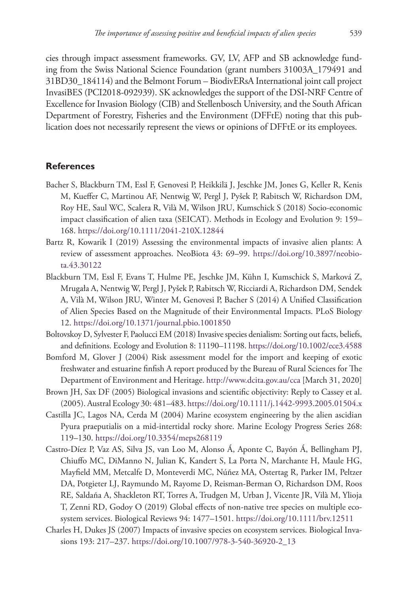cies through impact assessment frameworks. GV, LV, AFP and SB acknowledge funding from the Swiss National Science Foundation (grant numbers 31003A\_179491 and 31BD30\_184114) and the Belmont Forum – BiodivERsA International joint call project InvasiBES (PCI2018-092939). SK acknowledges the support of the DSI-NRF Centre of Excellence for Invasion Biology (CIB) and Stellenbosch University, and the South African Department of Forestry, Fisheries and the Environment (DFFtE) noting that this publication does not necessarily represent the views or opinions of DFFtE or its employees.

### **References**

- Bacher S, Blackburn TM, Essl F, Genovesi P, Heikkilä J, Jeschke JM, Jones G, Keller R, Kenis M, Kueffer C, Martinou AF, Nentwig W, Pergl J, Pyšek P, Rabitsch W, Richardson DM, Roy HE, Saul WC, Scalera R, Vilà M, Wilson JRU, Kumschick S (2018) Socio-economic impact classification of alien taxa (SEICAT). Methods in Ecology and Evolution 9: 159– 168.<https://doi.org/10.1111/2041-210X.12844>
- Bartz R, Kowarik I (2019) Assessing the environmental impacts of invasive alien plants: A review of assessment approaches. NeoBiota 43: 69–99. [https://doi.org/10.3897/neobio](https://doi.org/10.3897/neobiota.43.30122)[ta.43.30122](https://doi.org/10.3897/neobiota.43.30122)
- Blackburn TM, Essl F, Evans T, Hulme PE, Jeschke JM, Kühn I, Kumschick S, Marková Z, Mrugała A, Nentwig W, Pergl J, Pyšek P, Rabitsch W, Ricciardi A, Richardson DM, Sendek A, Vilà M, Wilson JRU, Winter M, Genovesi P, Bacher S (2014) A Unified Classification of Alien Species Based on the Magnitude of their Environmental Impacts. PLoS Biology 12.<https://doi.org/10.1371/journal.pbio.1001850>
- Boltovskoy D, Sylvester F, Paolucci EM (2018) Invasive species denialism: Sorting out facts, beliefs, and definitions. Ecology and Evolution 8: 11190–11198.<https://doi.org/10.1002/ece3.4588>
- Bomford M, Glover J (2004) Risk assessment model for the import and keeping of exotic freshwater and estuarine finfish A report produced by the Bureau of Rural Sciences for The Department of Environment and Heritage.<http://www.dcita.gov.au/cca>[March 31, 2020]
- Brown JH, Sax DF (2005) Biological invasions and scientific objectivity: Reply to Cassey et al. (2005). Austral Ecology 30: 481–483.<https://doi.org/10.1111/j.1442-9993.2005.01504.x>
- Castilla JC, Lagos NA, Cerda M (2004) Marine ecosystem engineering by the alien ascidian Pyura praeputialis on a mid-intertidal rocky shore. Marine Ecology Progress Series 268: 119–130.<https://doi.org/10.3354/meps268119>
- Castro-Díez P, Vaz AS, Silva JS, van Loo M, Alonso Á, Aponte C, Bayón Á, Bellingham PJ, Chiuffo MC, DiManno N, Julian K, Kandert S, La Porta N, Marchante H, Maule HG, Mayfield MM, Metcalfe D, Monteverdi MC, Núñez MA, Ostertag R, Parker IM, Peltzer DA, Potgieter LJ, Raymundo M, Rayome D, Reisman-Berman O, Richardson DM, Roos RE, Saldaña A, Shackleton RT, Torres A, Trudgen M, Urban J, Vicente JR, Vilà M, Ylioja T, Zenni RD, Godoy O (2019) Global effects of non-native tree species on multiple ecosystem services. Biological Reviews 94: 1477–1501. <https://doi.org/10.1111/brv.12511>
- Charles H, Dukes JS (2007) Impacts of invasive species on ecosystem services. Biological Invasions 193: 217–237. [https://doi.org/10.1007/978-3-540-36920-2\\_13](https://doi.org/10.1007/978-3-540-36920-2_13)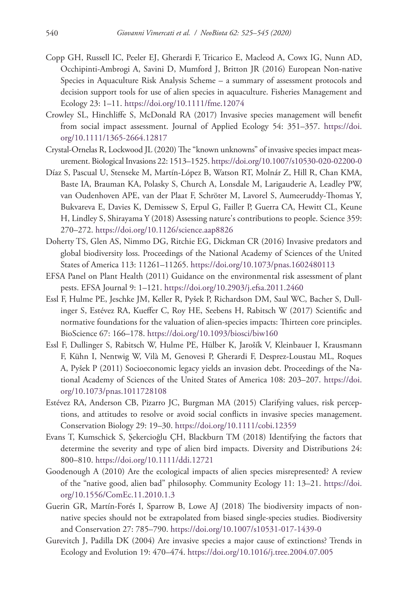- Copp GH, Russell IC, Peeler EJ, Gherardi F, Tricarico E, Macleod A, Cowx IG, Nunn AD, Occhipinti-Ambrogi A, Savini D, Mumford J, Britton JR (2016) European Non-native Species in Aquaculture Risk Analysis Scheme – a summary of assessment protocols and decision support tools for use of alien species in aquaculture. Fisheries Management and Ecology 23: 1–11. <https://doi.org/10.1111/fme.12074>
- Crowley SL, Hinchliffe S, McDonald RA (2017) Invasive species management will benefit from social impact assessment. Journal of Applied Ecology 54: 351–357. [https://doi.](https://doi.org/10.1111/1365-2664.12817) [org/10.1111/1365-2664.12817](https://doi.org/10.1111/1365-2664.12817)
- Crystal-Ornelas R, Lockwood JL (2020) The "known unknowns" of invasive species impact measurement. Biological Invasions 22: 1513–1525.<https://doi.org/10.1007/s10530-020-02200-0>
- Díaz S, Pascual U, Stenseke M, Martín-López B, Watson RT, Molnár Z, Hill R, Chan KMA, Baste IA, Brauman KA, Polasky S, Church A, Lonsdale M, Larigauderie A, Leadley PW, van Oudenhoven APE, van der Plaat F, Schröter M, Lavorel S, Aumeeruddy-Thomas Y, Bukvareva E, Davies K, Demissew S, Erpul G, Failler P, Guerra CA, Hewitt CL, Keune H, Lindley S, Shirayama Y (2018) Assessing nature's contributions to people. Science 359: 270–272.<https://doi.org/10.1126/science.aap8826>
- Doherty TS, Glen AS, Nimmo DG, Ritchie EG, Dickman CR (2016) Invasive predators and global biodiversity loss. Proceedings of the National Academy of Sciences of the United States of America 113: 11261–11265. <https://doi.org/10.1073/pnas.1602480113>
- EFSA Panel on Plant Health (2011) Guidance on the environmental risk assessment of plant pests. EFSA Journal 9: 1–121. <https://doi.org/10.2903/j.efsa.2011.2460>
- Essl F, Hulme PE, Jeschke JM, Keller R, Pyšek P, Richardson DM, Saul WC, Bacher S, Dullinger S, Estévez RA, Kueffer C, Roy HE, Seebens H, Rabitsch W (2017) Scientific and normative foundations for the valuation of alien-species impacts: Thirteen core principles. BioScience 67: 166–178. <https://doi.org/10.1093/biosci/biw160>
- Essl F, Dullinger S, Rabitsch W, Hulme PE, Hülber K, Jarošík V, Kleinbauer I, Krausmann F, Kühn I, Nentwig W, Vilà M, Genovesi P, Gherardi F, Desprez-Loustau ML, Roques A, Pyšek P (2011) Socioeconomic legacy yields an invasion debt. Proceedings of the National Academy of Sciences of the United States of America 108: 203–207. [https://doi.](https://doi.org/10.1073/pnas.1011728108) [org/10.1073/pnas.1011728108](https://doi.org/10.1073/pnas.1011728108)
- Estévez RA, Anderson CB, Pizarro JC, Burgman MA (2015) Clarifying values, risk perceptions, and attitudes to resolve or avoid social conflicts in invasive species management. Conservation Biology 29: 19–30. <https://doi.org/10.1111/cobi.12359>
- Evans T, Kumschick S, Şekercioğlu ÇH, Blackburn TM (2018) Identifying the factors that determine the severity and type of alien bird impacts. Diversity and Distributions 24: 800–810.<https://doi.org/10.1111/ddi.12721>
- Goodenough A (2010) Are the ecological impacts of alien species misrepresented? A review of the "native good, alien bad" philosophy. Community Ecology 11: 13–21. [https://doi.](https://doi.org/10.1556/ComEc.11.2010.1.3) [org/10.1556/ComEc.11.2010.1.3](https://doi.org/10.1556/ComEc.11.2010.1.3)
- Guerin GR, Martín-Forés I, Sparrow B, Lowe AJ (2018) The biodiversity impacts of nonnative species should not be extrapolated from biased single-species studies. Biodiversity and Conservation 27: 785–790. <https://doi.org/10.1007/s10531-017-1439-0>
- Gurevitch J, Padilla DK (2004) Are invasive species a major cause of extinctions? Trends in Ecology and Evolution 19: 470–474.<https://doi.org/10.1016/j.tree.2004.07.005>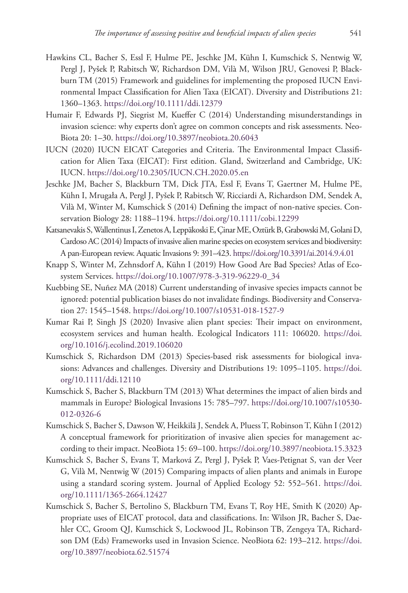- Hawkins CL, Bacher S, Essl F, Hulme PE, Jeschke JM, Kühn I, Kumschick S, Nentwig W, Pergl J, Pyšek P, Rabitsch W, Richardson DM, Vilà M, Wilson JRU, Genovesi P, Blackburn TM (2015) Framework and guidelines for implementing the proposed IUCN Environmental Impact Classification for Alien Taxa (EICAT). Diversity and Distributions 21: 1360–1363.<https://doi.org/10.1111/ddi.12379>
- Humair F, Edwards PJ, Siegrist M, Kueffer C (2014) Understanding misunderstandings in invasion science: why experts don't agree on common concepts and risk assessments. Neo-Biota 20: 1–30.<https://doi.org/10.3897/neobiota.20.6043>
- IUCN (2020) IUCN EICAT Categories and Criteria. The Environmental Impact Classification for Alien Taxa (EICAT): First edition. Gland, Switzerland and Cambridge, UK: IUCN.<https://doi.org/10.2305/IUCN.CH.2020.05.en>
- Jeschke JM, Bacher S, Blackburn TM, Dick JTA, Essl F, Evans T, Gaertner M, Hulme PE, Kühn I, Mrugała A, Pergl J, Pyšek P, Rabitsch W, Ricciardi A, Richardson DM, Sendek A, Vilà M, Winter M, Kumschick S (2014) Defining the impact of non-native species. Conservation Biology 28: 1188–1194. <https://doi.org/10.1111/cobi.12299>
- Katsanevakis S, Wallentinus I, Zenetos A, Leppäkoski E, Çinar ME, Oztürk B, Grabowski M, Golani D, Cardoso AC (2014) Impacts of invasive alien marine species on ecosystem services and biodiversity: A pan-European review. Aquatic Invasions 9: 391–423.<https://doi.org/10.3391/ai.2014.9.4.01>
- Knapp S, Winter M, Zehnsdorf A, Kühn I (2019) How Good Are Bad Species? Atlas of Ecosystem Services. [https://doi.org/10.1007/978-3-319-96229-0\\_34](https://doi.org/10.1007/978-3-319-96229-0_34)
- Kuebbing SE, Nuñez MA (2018) Current understanding of invasive species impacts cannot be ignored: potential publication biases do not invalidate findings. Biodiversity and Conservation 27: 1545–1548. <https://doi.org/10.1007/s10531-018-1527-9>
- Kumar Rai P, Singh JS (2020) Invasive alien plant species: Their impact on environment, ecosystem services and human health. Ecological Indicators 111: 106020. [https://doi.](https://doi.org/10.1016/j.ecolind.2019.106020) [org/10.1016/j.ecolind.2019.106020](https://doi.org/10.1016/j.ecolind.2019.106020)
- Kumschick S, Richardson DM (2013) Species-based risk assessments for biological invasions: Advances and challenges. Diversity and Distributions 19: 1095–1105. [https://doi.](https://doi.org/10.1111/ddi.12110) [org/10.1111/ddi.12110](https://doi.org/10.1111/ddi.12110)
- Kumschick S, Bacher S, Blackburn TM (2013) What determines the impact of alien birds and mammals in Europe? Biological Invasions 15: 785–797. [https://doi.org/10.1007/s10530-](https://doi.org/10.1007/s10530-012-0326-6) [012-0326-6](https://doi.org/10.1007/s10530-012-0326-6)
- Kumschick S, Bacher S, Dawson W, Heikkilä J, Sendek A, Pluess T, Robinson T, Kühn I (2012) A conceptual framework for prioritization of invasive alien species for management according to their impact. NeoBiota 15: 69–100.<https://doi.org/10.3897/neobiota.15.3323>
- Kumschick S, Bacher S, Evans T, Marková Z, Pergl J, Pyšek P, Vaes-Petignat S, van der Veer G, Vilà M, Nentwig W (2015) Comparing impacts of alien plants and animals in Europe using a standard scoring system. Journal of Applied Ecology 52: 552–561. [https://doi.](https://doi.org/10.1111/1365-2664.12427) [org/10.1111/1365-2664.12427](https://doi.org/10.1111/1365-2664.12427)
- Kumschick S, Bacher S, Bertolino S, Blackburn TM, Evans T, Roy HE, Smith K (2020) Appropriate uses of EICAT protocol, data and classifications. In: Wilson JR, Bacher S, Daehler CC, Groom QJ, Kumschick S, Lockwood JL, Robinson TB, Zengeya TA, Richardson DM (Eds) Frameworks used in Invasion Science. NeoBiota 62: 193–212. [https://doi.](https://doi.org/10.3897/neobiota.62.51574) [org/10.3897/neobiota.62.51574](https://doi.org/10.3897/neobiota.62.51574)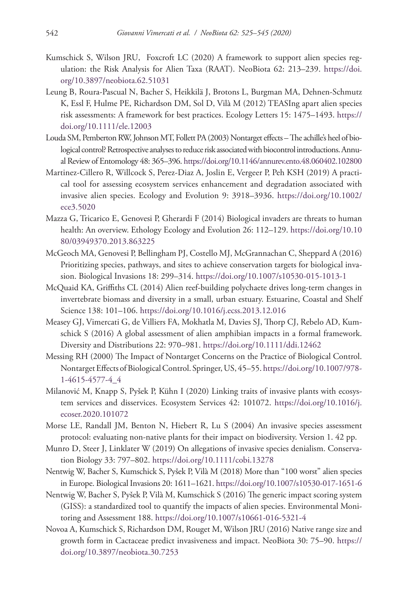- Kumschick S, Wilson JRU, Foxcroft LC (2020) A framework to support alien species regulation: the Risk Analysis for Alien Taxa (RAAT). NeoBiota 62: 213–239. [https://doi.](https://doi.org/10.3897/neobiota.62.51031) [org/10.3897/neobiota.62.51031](https://doi.org/10.3897/neobiota.62.51031)
- Leung B, Roura-Pascual N, Bacher S, Heikkilä J, Brotons L, Burgman MA, Dehnen-Schmutz K, Essl F, Hulme PE, Richardson DM, Sol D, Vilà M (2012) TEASIng apart alien species risk assessments: A framework for best practices. Ecology Letters 15: 1475–1493. [https://](https://doi.org/10.1111/ele.12003) [doi.org/10.1111/ele.12003](https://doi.org/10.1111/ele.12003)
- Louda SM, Pemberton RW, Johnson MT, Follett PA (2003) Nontarget effects The achille's heel of biological control? Retrospective analyses to reduce risk associated with biocontrol introductions. Annual Review of Entomology 48: 365–396.<https://doi.org/10.1146/annurev.ento.48.060402.102800>
- Martinez-Cillero R, Willcock S, Perez-Diaz A, Joslin E, Vergeer P, Peh KSH (2019) A practical tool for assessing ecosystem services enhancement and degradation associated with invasive alien species. Ecology and Evolution 9: 3918–3936. [https://doi.org/10.1002/](https://doi.org/10.1002/ece3.5020) [ece3.5020](https://doi.org/10.1002/ece3.5020)
- Mazza G, Tricarico E, Genovesi P, Gherardi F (2014) Biological invaders are threats to human health: An overview. Ethology Ecology and Evolution 26: 112–129. [https://doi.org/10.10](https://doi.org/10.1080/03949370.2013.863225) [80/03949370.2013.863225](https://doi.org/10.1080/03949370.2013.863225)
- McGeoch MA, Genovesi P, Bellingham PJ, Costello MJ, McGrannachan C, Sheppard A (2016) Prioritizing species, pathways, and sites to achieve conservation targets for biological invasion. Biological Invasions 18: 299–314. <https://doi.org/10.1007/s10530-015-1013-1>
- McQuaid KA, Griffiths CL (2014) Alien reef-building polychaete drives long-term changes in invertebrate biomass and diversity in a small, urban estuary. Estuarine, Coastal and Shelf Science 138: 101–106. <https://doi.org/10.1016/j.ecss.2013.12.016>
- Measey GJ, Vimercati G, de Villiers FA, Mokhatla M, Davies SJ, Thorp CJ, Rebelo AD, Kumschick S (2016) A global assessment of alien amphibian impacts in a formal framework. Diversity and Distributions 22: 970–981. <https://doi.org/10.1111/ddi.12462>
- Messing RH (2000) The Impact of Nontarget Concerns on the Practice of Biological Control. Nontarget Effects of Biological Control. Springer, US, 45–55. [https://doi.org/10.1007/978-](https://doi.org/10.1007/978-1-4615-4577-4_4) [1-4615-4577-4\\_4](https://doi.org/10.1007/978-1-4615-4577-4_4)
- Milanović M, Knapp S, Pyšek P, Kühn I (2020) Linking traits of invasive plants with ecosystem services and disservices. Ecosystem Services 42: 101072. [https://doi.org/10.1016/j.](https://doi.org/10.1016/j.ecoser.2020.101072) [ecoser.2020.101072](https://doi.org/10.1016/j.ecoser.2020.101072)
- Morse LE, Randall JM, Benton N, Hiebert R, Lu S (2004) An invasive species assessment protocol: evaluating non-native plants for their impact on biodiversity. Version 1. 42 pp.
- Munro D, Steer J, Linklater W (2019) On allegations of invasive species denialism. Conservation Biology 33: 797–802. <https://doi.org/10.1111/cobi.13278>
- Nentwig W, Bacher S, Kumschick S, Pyšek P, Vilà M (2018) More than "100 worst" alien species in Europe. Biological Invasions 20: 1611–1621.<https://doi.org/10.1007/s10530-017-1651-6>
- Nentwig W, Bacher S, Pyšek P, Vilà M, Kumschick S (2016) The generic impact scoring system (GISS): a standardized tool to quantify the impacts of alien species. Environmental Monitoring and Assessment 188.<https://doi.org/10.1007/s10661-016-5321-4>
- Novoa A, Kumschick S, Richardson DM, Rouget M, Wilson JRU (2016) Native range size and growth form in Cactaceae predict invasiveness and impact. NeoBiota 30: 75–90. [https://](https://doi.org/10.3897/neobiota.30.7253) [doi.org/10.3897/neobiota.30.7253](https://doi.org/10.3897/neobiota.30.7253)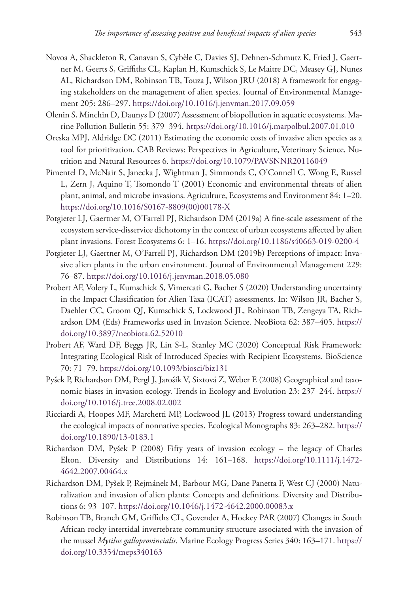- Novoa A, Shackleton R, Canavan S, Cybèle C, Davies SJ, Dehnen-Schmutz K, Fried J, Gaertner M, Geerts S, Griffiths CL, Kaplan H, Kumschick S, Le Maitre DC, Measey GJ, Nunes AL, Richardson DM, Robinson TB, Touza J, Wilson JRU (2018) A framework for engaging stakeholders on the management of alien species. Journal of Environmental Management 205: 286–297.<https://doi.org/10.1016/j.jenvman.2017.09.059>
- Olenin S, Minchin D, Daunys D (2007) Assessment of biopollution in aquatic ecosystems. Marine Pollution Bulletin 55: 379–394. <https://doi.org/10.1016/j.marpolbul.2007.01.010>
- Oreska MPJ, Aldridge DC (2011) Estimating the economic costs of invasive alien species as a tool for prioritization. CAB Reviews: Perspectives in Agriculture, Veterinary Science, Nutrition and Natural Resources 6.<https://doi.org/10.1079/PAVSNNR20116049>
- Pimentel D, McNair S, Janecka J, Wightman J, Simmonds C, O'Connell C, Wong E, Russel L, Zern J, Aquino T, Tsomondo T (2001) Economic and environmental threats of alien plant, animal, and microbe invasions. Agriculture, Ecosystems and Environment 84: 1–20. [https://doi.org/10.1016/S0167-8809\(00\)00178-X](https://doi.org/10.1016/S0167-8809(00)00178-X)
- Potgieter LJ, Gaertner M, O'Farrell PJ, Richardson DM (2019a) A fine-scale assessment of the ecosystem service-disservice dichotomy in the context of urban ecosystems affected by alien plant invasions. Forest Ecosystems 6: 1–16.<https://doi.org/10.1186/s40663-019-0200-4>
- Potgieter LJ, Gaertner M, O'Farrell PJ, Richardson DM (2019b) Perceptions of impact: Invasive alien plants in the urban environment. Journal of Environmental Management 229: 76–87.<https://doi.org/10.1016/j.jenvman.2018.05.080>
- Probert AF, Volery L, Kumschick S, Vimercati G, Bacher S (2020) Understanding uncertainty in the Impact Classification for Alien Taxa (ICAT) assessments. In: Wilson JR, Bacher S, Daehler CC, Groom QJ, Kumschick S, Lockwood JL, Robinson TB, Zengeya TA, Richardson DM (Eds) Frameworks used in Invasion Science. NeoBiota 62: 387–405. [https://](https://doi.org/10.3897/neobiota.62.52010) [doi.org/10.3897/neobiota.62.52010](https://doi.org/10.3897/neobiota.62.52010)
- Probert AF, Ward DF, Beggs JR, Lin S-L, Stanley MC (2020) Conceptual Risk Framework: Integrating Ecological Risk of Introduced Species with Recipient Ecosystems. BioScience 70: 71–79.<https://doi.org/10.1093/biosci/biz131>
- Pyšek P, Richardson DM, Pergl J, Jarošík V, Sixtová Z, Weber E (2008) Geographical and taxonomic biases in invasion ecology. Trends in Ecology and Evolution 23: 237–244. [https://](https://doi.org/10.1016/j.tree.2008.02.002) [doi.org/10.1016/j.tree.2008.02.002](https://doi.org/10.1016/j.tree.2008.02.002)
- Ricciardi A, Hoopes MF, Marchetti MP, Lockwood JL (2013) Progress toward understanding the ecological impacts of nonnative species. Ecological Monographs 83: 263–282. [https://](https://doi.org/10.1890/13-0183.1) [doi.org/10.1890/13-0183.1](https://doi.org/10.1890/13-0183.1)
- Richardson DM, Pyšek P (2008) Fifty years of invasion ecology the legacy of Charles Elton. Diversity and Distributions 14: 161–168. [https://doi.org/10.1111/j.1472-](https://doi.org/10.1111/j.1472-4642.2007.00464.x) [4642.2007.00464.x](https://doi.org/10.1111/j.1472-4642.2007.00464.x)
- Richardson DM, Pyšek P, Rejmánek M, Barbour MG, Dane Panetta F, West CJ (2000) Naturalization and invasion of alien plants: Concepts and definitions. Diversity and Distributions 6: 93–107. <https://doi.org/10.1046/j.1472-4642.2000.00083.x>
- Robinson TB, Branch GM, Griffiths CL, Govender A, Hockey PAR (2007) Changes in South African rocky intertidal invertebrate community structure associated with the invasion of the mussel *Mytilus galloprovincialis*. Marine Ecology Progress Series 340: 163–171. [https://](https://doi.org/10.3354/meps340163) [doi.org/10.3354/meps340163](https://doi.org/10.3354/meps340163)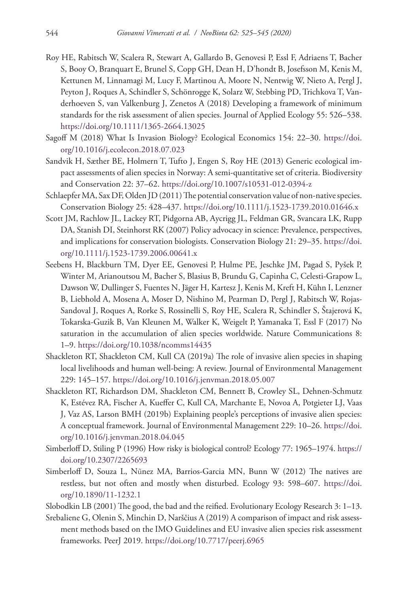- Roy HE, Rabitsch W, Scalera R, Stewart A, Gallardo B, Genovesi P, Essl F, Adriaens T, Bacher S, Booy O, Branquart E, Brunel S, Copp GH, Dean H, D'hondt B, Josefsson M, Kenis M, Kettunen M, Linnamagi M, Lucy F, Martinou A, Moore N, Nentwig W, Nieto A, Pergl J, Peyton J, Roques A, Schindler S, Schönrogge K, Solarz W, Stebbing PD, Trichkova T, Vanderhoeven S, van Valkenburg J, Zenetos A (2018) Developing a framework of minimum standards for the risk assessment of alien species. Journal of Applied Ecology 55: 526–538. <https://doi.org/10.1111/1365-2664.13025>
- Sagoff M (2018) What Is Invasion Biology? Ecological Economics 154: 22–30. [https://doi.](https://doi.org/10.1016/j.ecolecon.2018.07.023) [org/10.1016/j.ecolecon.2018.07.023](https://doi.org/10.1016/j.ecolecon.2018.07.023)
- Sandvik H, Sæther BE, Holmern T, Tufto J, Engen S, Roy HE (2013) Generic ecological impact assessments of alien species in Norway: A semi-quantitative set of criteria. Biodiversity and Conservation 22: 37–62. <https://doi.org/10.1007/s10531-012-0394-z>
- Schlaepfer MA, Sax DF, Olden JD (2011) The potential conservation value of non-native species. Conservation Biology 25: 428–437. <https://doi.org/10.1111/j.1523-1739.2010.01646.x>
- Scott JM, Rachlow JL, Lackey RT, Pidgorna AB, Aycrigg JL, Feldman GR, Svancara LK, Rupp DA, Stanish DI, Steinhorst RK (2007) Policy advocacy in science: Prevalence, perspectives, and implications for conservation biologists. Conservation Biology 21: 29–35. [https://doi.](https://doi.org/10.1111/j.1523-1739.2006.00641.x) [org/10.1111/j.1523-1739.2006.00641.x](https://doi.org/10.1111/j.1523-1739.2006.00641.x)
- Seebens H, Blackburn TM, Dyer EE, Genovesi P, Hulme PE, Jeschke JM, Pagad S, Pyšek P, Winter M, Arianoutsou M, Bacher S, Blasius B, Brundu G, Capinha C, Celesti-Grapow L, Dawson W, Dullinger S, Fuentes N, Jäger H, Kartesz J, Kenis M, Kreft H, Kühn I, Lenzner B, Liebhold A, Mosena A, Moser D, Nishino M, Pearman D, Pergl J, Rabitsch W, Rojas-Sandoval J, Roques A, Rorke S, Rossinelli S, Roy HE, Scalera R, Schindler S, Štajerová K, Tokarska-Guzik B, Van Kleunen M, Walker K, Weigelt P, Yamanaka T, Essl F (2017) No saturation in the accumulation of alien species worldwide. Nature Communications 8: 1–9.<https://doi.org/10.1038/ncomms14435>
- Shackleton RT, Shackleton CM, Kull CA (2019a) The role of invasive alien species in shaping local livelihoods and human well-being: A review. Journal of Environmental Management 229: 145–157.<https://doi.org/10.1016/j.jenvman.2018.05.007>
- Shackleton RT, Richardson DM, Shackleton CM, Bennett B, Crowley SL, Dehnen-Schmutz K, Estévez RA, Fischer A, Kueffer C, Kull CA, Marchante E, Novoa A, Potgieter LJ, Vaas J, Vaz AS, Larson BMH (2019b) Explaining people's perceptions of invasive alien species: A conceptual framework. Journal of Environmental Management 229: 10–26. [https://doi.](https://doi.org/10.1016/j.jenvman.2018.04.045) [org/10.1016/j.jenvman.2018.04.045](https://doi.org/10.1016/j.jenvman.2018.04.045)
- Simberloff D, Stiling P (1996) How risky is biological control? Ecology 77: 1965–1974. [https://](https://doi.org/10.2307/2265693) [doi.org/10.2307/2265693](https://doi.org/10.2307/2265693)
- Simberloff D, Souza L, Nũnez MA, Barrios-Garcia MN, Bunn W (2012) The natives are restless, but not often and mostly when disturbed. Ecology 93: 598–607. [https://doi.](https://doi.org/10.1890/11-1232.1) [org/10.1890/11-1232.1](https://doi.org/10.1890/11-1232.1)
- Slobodkin LB (2001) The good, the bad and the reified. Evolutionary Ecology Research 3: 1–13.
- Srebaliene G, Olenin S, Minchin D, Narščius A (2019) A comparison of impact and risk assessment methods based on the IMO Guidelines and EU invasive alien species risk assessment frameworks. PeerJ 2019. <https://doi.org/10.7717/peerj.6965>